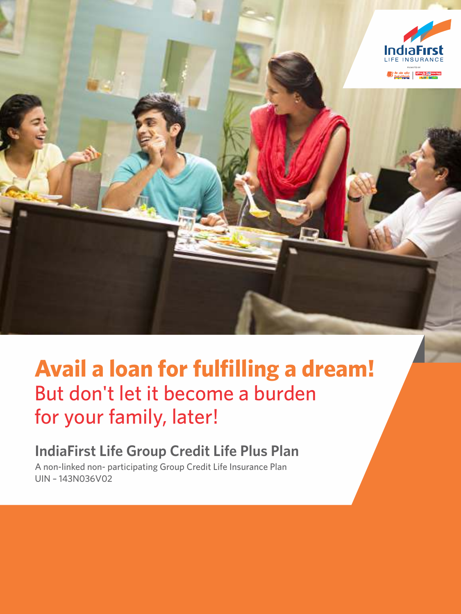

# **Avail a loan for fulfilling a dream!** But don't let it become a burden for your family, later!

# **IndiaFirst Life Group Credit Life Plus Plan**

A non-linked non- participating Group Credit Life Insurance Plan UIN – 143N036V02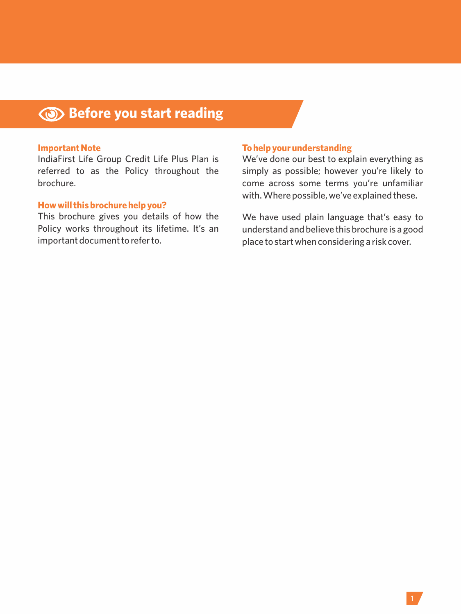# **Before you start reading**

#### **Important Note**

IndiaFirst Life Group Credit Life Plus Plan is referred to as the Policy throughout the brochure.

#### **How will this brochure help you?**

This brochure gives you details of how the Policy works throughout its lifetime. It's an important document to refer to.

#### **To help your understanding**

We've done our best to explain everything as simply as possible; however you're likely to come across some terms you're unfamiliar with. Where possible, we've explained these.

We have used plain language that's easy to understand and believe this brochure is a good place to start when considering a risk cover.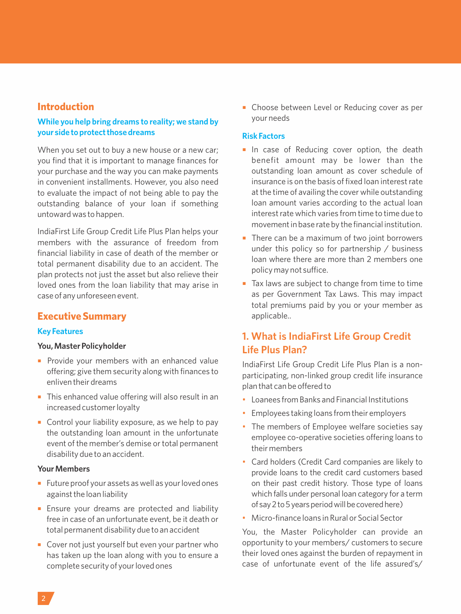## **Introduction**

#### **While you help bring dreams to reality; we stand by your side to protect those dreams**

When you set out to buy a new house or a new car: you find that it is important to manage finances for your purchase and the way you can make payments in convenient installments. However, you also need to evaluate the impact of not being able to pay the outstanding balance of your loan if something untoward was to happen.

IndiaFirst Life Group Credit Life Plus Plan helps your members with the assurance of freedom from financial liability in case of death of the member or total permanent disability due to an accident. The plan protects not just the asset but also relieve their loved ones from the loan liability that may arise in case of any unforeseen event.

## **Executive Summary**

#### **Key Features**

#### **You, Master Policyholder**

- **•** Provide your members with an enhanced value offering; give them security along with finances to enliven their dreams
- This enhanced value offering will also result in an increased customer loyalty
- Control your liability exposure, as we help to pay the outstanding loan amount in the unfortunate event of the member's demise or total permanent disability due to an accident.

#### **Your Members**

- Future proof your assets as well as your loved ones against the loan liability
- **Ensure your dreams are protected and liability** free in case of an unfortunate event, be it death or total permanent disability due to an accident
- Cover not just yourself but even your partner who has taken up the loan along with you to ensure a complete security of your loved ones

■ Choose between Level or Reducing cover as per your needs

#### **Risk Factors**

- **In case of Reducing cover option, the death** benefit amount may be lower than the outstanding loan amount as cover schedule of insurance is on the basis of fixed loan interest rate at the time of availing the cover while outstanding loan amount varies according to the actual loan interest rate which varies from time to time due to movement in base rate by the financial institution.
- There can be a maximum of two joint borrowers under this policy so for partnership / business loan where there are more than 2 members one policy may not suffice.
- Tax laws are subject to change from time to time as per Government Tax Laws. This may impact total premiums paid by you or your member as applicable..

## **1. What is IndiaFirst Life Group Credit Life Plus Plan?**

IndiaFirst Life Group Credit Life Plus Plan is a nonparticipating, non-linked group credit life insurance plan that can be offered to

- Loanees from Banks and Financial Institutions
- Employees taking loans from their employers
- The members of Employee welfare societies say employee co-operative societies offering loans to their members
- Card holders (Credit Card companies are likely to provide loans to the credit card customers based on their past credit history. Those type of loans which falls under personal loan category for a term of say 2 to 5 years period will be covered here)
- Micro-finance loans in Rural or Social Sector

You, the Master Policyholder can provide an opportunity to your members/ customers to secure their loved ones against the burden of repayment in case of unfortunate event of the life assured's/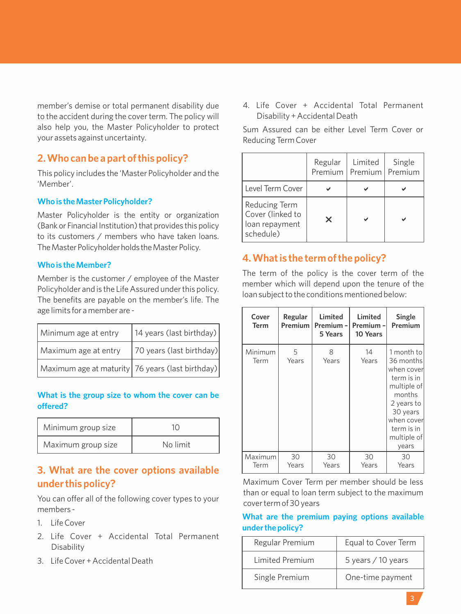member's demise or total permanent disability due to the accident during the cover term. The policy will also help you, the Master Policyholder to protect your assets against uncertainty.

## **2. Who can be a part of this policy?**

This policy includes the 'Master Policyholder and the 'Member'.

#### **Who is the Master Policyholder?**

Master Policyholder is the entity or organization (Bank or Financial Institution) that provides this policy to its customers / members who have taken loans. The Master Policyholder holds the Master Policy.

#### **Who is the Member?**

Member is the customer / employee of the Master Policyholder and is the Life Assured under this policy. The benefits are payable on the member's life. The age limits for a member are -

| Minimum age at entry                             | 14 years (last birthday) |
|--------------------------------------------------|--------------------------|
| Maximum age at entry                             | 70 years (last birthday) |
| Maximum age at maturity 76 years (last birthday) |                          |

#### **What is the group size to whom the cover can be offered?**

| Minimum group size |          |
|--------------------|----------|
| Maximum group size | No limit |

## **3. What are the cover options available under this policy?**

You can offer all of the following cover types to your members -

- 1. Life Cover
- 2. Life Cover + Accidental Total Permanent Disability
- 3. Life Cover + Accidental Death

4. Life Cover + Accidental Total Permanent Disability + Accidental Death

Sum Assured can be either Level Term Cover or Reducing Term Cover

|                                                                         | Regular<br>Premium | Limited<br>Premium | Single<br>Premium |
|-------------------------------------------------------------------------|--------------------|--------------------|-------------------|
| Level Term Cover                                                        |                    |                    |                   |
| <b>Reducing Term</b><br>Cover (linked to<br>loan repayment<br>schedule) | ×                  |                    |                   |

## **4. What is the term of the policy?**

The term of the policy is the cover term of the member which will depend upon the tenure of the loan subject to the conditions mentioned below:

| Cover<br>Term   | Regular<br>Premium | Limited<br>Premium -<br>5 Years | Limited<br>Premium-<br>10 Years | Single<br>Premium                                                                                                                                          |
|-----------------|--------------------|---------------------------------|---------------------------------|------------------------------------------------------------------------------------------------------------------------------------------------------------|
| Minimum<br>Term | 5<br>Years         | 8<br>Years                      | 14<br>Years                     | 1 month to<br>36 months<br>when cover<br>term is in<br>multiple of<br>months<br>2 years to<br>30 years<br>when cover<br>term is in<br>multiple of<br>years |
| Maximum<br>Term | 30<br>Years        | 30<br>Years                     | 30<br>Years                     | 30<br>Years                                                                                                                                                |

Maximum Cover Term per member should be less than or equal to loan term subject to the maximum cover term of 30 years

## **What are the premium paying options available under the policy?**

| Regular Premium        | Equal to Cover Term |
|------------------------|---------------------|
| <b>Limited Premium</b> | 5 years / 10 years  |
| Single Premium         | One-time payment    |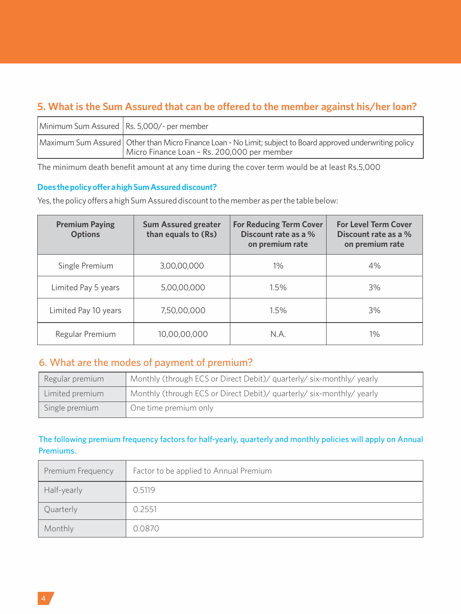## **5. What is the Sum Assured that can be offered to the member against his/her loan?**

| Minimum Sum Assured   Rs. 5,000/- per member                                                                                                                 |
|--------------------------------------------------------------------------------------------------------------------------------------------------------------|
| Maximum Sum Assured   Other than Micro Finance Loan - No Limit; subject to Board approved underwriting policy<br>Micro Finance Loan - Rs. 200,000 per member |

The minimum death benefit amount at any time during the cover term would be at least Rs.5,000

#### **Does the policy offer a high Sum Assured discount?**

Yes, the policy offers a high Sum Assured discount to the member as per the table below:

| <b>Premium Paying</b><br><b>Options</b> | <b>Sum Assured greater</b><br>than equals to (Rs) | <b>For Reducing Term Cover</b><br>Discount rate as a %<br>on premium rate | <b>For Level Term Cover</b><br>Discount rate as a %<br>on premium rate |
|-----------------------------------------|---------------------------------------------------|---------------------------------------------------------------------------|------------------------------------------------------------------------|
| Single Premium                          | 3,00,00,000                                       | $1\%$                                                                     | 4%                                                                     |
| Limited Pay 5 years                     | 5,00,00,000                                       | 1.5%                                                                      | 3%                                                                     |
| Limited Pay 10 years                    | 7,50,00,000                                       | 1.5%                                                                      | 3%                                                                     |
| Regular Premium                         | 10.00.00.000                                      | N.A.                                                                      | $1\%$                                                                  |

## 6. What are the modes of payment of premium?

| Regular premium | Monthly (through ECS or Direct Debit)/ quarterly/ six-monthly/ yearly |
|-----------------|-----------------------------------------------------------------------|
| Limited premium | Monthly (through ECS or Direct Debit)/ quarterly/ six-monthly/ yearly |
| Single premium  | One time premium only                                                 |

## The following premium frequency factors for half-yearly, quarterly and monthly policies will apply on Annual Premiums.

| Premium Frequency | Factor to be applied to Annual Premium |
|-------------------|----------------------------------------|
| Half-yearly       | 0.5119                                 |
| Quarterly         | 0.2551                                 |
| Monthly           | 0.0870                                 |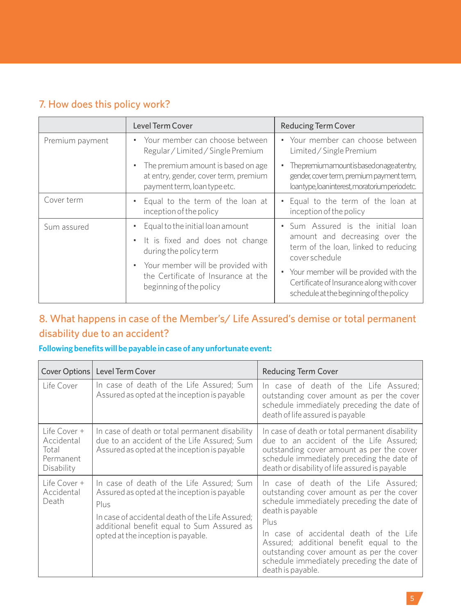## 7. How does this policy work?

|                 | Level Term Cover                                                                                                                                                                                                      | <b>Reducing Term Cover</b>                                                                                                                                                                                                                                       |
|-----------------|-----------------------------------------------------------------------------------------------------------------------------------------------------------------------------------------------------------------------|------------------------------------------------------------------------------------------------------------------------------------------------------------------------------------------------------------------------------------------------------------------|
| Premium payment | • Your member can choose between<br>Regular / Limited / Single Premium                                                                                                                                                | • Your member can choose between<br>Limited / Single Premium                                                                                                                                                                                                     |
|                 | The premium amount is based on age<br>at entry, gender, cover term, premium<br>payment term, loan type etc.                                                                                                           | Thepremiumamountisbasedonageatentry,<br>gender, cover term, premium payment term,<br>loantype, loaninterest, moratorium periodetc.                                                                                                                               |
| Cover term      | Equal to the term of the loan at<br>inception of the policy                                                                                                                                                           | • Equal to the term of the loan at<br>inception of the policy                                                                                                                                                                                                    |
| Sum assured     | Equal to the initial loan amount<br>$\bullet$<br>• It is fixed and does not change<br>during the policy term<br>• Your member will be provided with<br>the Certificate of Insurance at the<br>beginning of the policy | • Sum Assured is the initial loan<br>amount and decreasing over the<br>term of the loan, linked to reducing<br>cover schedule<br>• Your member will be provided with the<br>Certificate of Insurance along with cover<br>schedule at the beginning of the policy |

## 8. What happens in case of the Member's/ Life Assured's demise or total permanent disability due to an accident?

## **Following benefits will be payable in case of any unfortunate event:**

|                                                                | Cover Options   Level Term Cover                                                                                                                                                                                                          | <b>Reducing Term Cover</b>                                                                                                                                                                                                                                                                                                                                          |
|----------------------------------------------------------------|-------------------------------------------------------------------------------------------------------------------------------------------------------------------------------------------------------------------------------------------|---------------------------------------------------------------------------------------------------------------------------------------------------------------------------------------------------------------------------------------------------------------------------------------------------------------------------------------------------------------------|
| Life Cover                                                     | In case of death of the Life Assured; Sum<br>Assured as opted at the inception is payable                                                                                                                                                 | In case of death of the Life Assured;<br>outstanding cover amount as per the cover<br>schedule immediately preceding the date of<br>death of life assured is payable                                                                                                                                                                                                |
| Life Cover +<br>Accidental<br>Total<br>Permanent<br>Disability | In case of death or total permanent disability<br>due to an accident of the Life Assured; Sum<br>Assured as opted at the inception is payable                                                                                             | In case of death or total permanent disability<br>due to an accident of the Life Assured:<br>outstanding cover amount as per the cover<br>schedule immediately preceding the date of<br>death or disability of life assured is payable                                                                                                                              |
| Life Cover +<br>Accidental<br>Death                            | In case of death of the Life Assured; Sum<br>Assured as opted at the inception is payable<br>Plus<br>In case of accidental death of the Life Assured:<br>additional benefit equal to Sum Assured as<br>opted at the inception is payable. | In case of death of the Life Assured:<br>outstanding cover amount as per the cover<br>schedule immediately preceding the date of<br>death is payable<br>Plus<br>In case of accidental death of the Life<br>Assured; additional benefit equal to the<br>outstanding cover amount as per the cover<br>schedule immediately preceding the date of<br>death is payable. |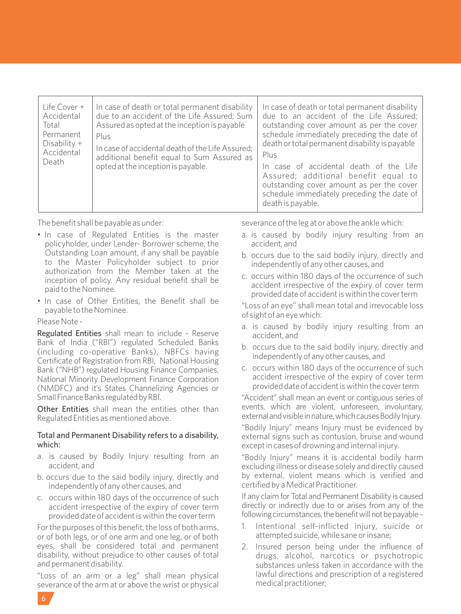| Life Cover +<br>Accidental<br>Total<br>Permanent<br>Disability $+$<br>Accidental<br>Death | In case of death or total permanent disability<br>due to an accident of the Life Assured; Sum<br>Assured as opted at the inception is payable<br>Plus<br>In case of accidental death of the Life Assured;<br>additional benefit equal to Sum Assured as<br>opted at the inception is payable. | In case of death or total permanent disability<br>due to an accident of the Life Assured;<br>outstanding cover amount as per the cover<br>schedule immediately preceding the date of<br>death or total permanent disability is payable<br>Plus<br>In case of accidental death of the Life<br>Assured; additional benefit equal to<br>outstanding cover amount as per the cover<br>schedule immediately preceding the date of<br>death is payable. |
|-------------------------------------------------------------------------------------------|-----------------------------------------------------------------------------------------------------------------------------------------------------------------------------------------------------------------------------------------------------------------------------------------------|---------------------------------------------------------------------------------------------------------------------------------------------------------------------------------------------------------------------------------------------------------------------------------------------------------------------------------------------------------------------------------------------------------------------------------------------------|
|-------------------------------------------------------------------------------------------|-----------------------------------------------------------------------------------------------------------------------------------------------------------------------------------------------------------------------------------------------------------------------------------------------|---------------------------------------------------------------------------------------------------------------------------------------------------------------------------------------------------------------------------------------------------------------------------------------------------------------------------------------------------------------------------------------------------------------------------------------------------|

The benefit shall be payable as under:

- In case of Regulated Entities is the master policyholder, under Lender- Borrower scheme, the Outstanding Loan amount, if any shall be payable to the Master Policyholder subject to prior authorization from the Member taken at the inception of policy. Any residual benefit shall be paid to the Nominee.
- In case of Other Entities, the Benefit shall be payable to the Nominee.

Please Note -

Regulated Entities shall mean to include - Reserve Bank of India ("RBI") regulated Scheduled Banks (including co-operative Banks), NBFCs having Certificate of Registration from RBI, National Housing Bank ("NHB") regulated Housing Finance Companies, National Minority Development Finance Corporation (NMDFC) and it's States Channelizing Agencies or Small Finance Banks regulated by RBI.

Other Entities shall mean the entities other than Regulated Entities as mentioned above.

#### Total and Permanent Disability refers to a disability, which:

- a. is caused by Bodily Injury resulting from an accident, and
- b. occurs due to the said bodily injury, directly and independently of any other causes, and
- c. occurs within 180 days of the occurrence of such accident irrespective of the expiry of cover term provided date of accident is within the cover term

For the purposes of this benefit, the loss of both arms, or of both legs, or of one arm and one leg, or of both eyes, shall be considered total and permanent disability, without prejudice to other causes of total and permanent disability.

"Loss of an arm or a leg" shall mean physical severance of the arm at or above the wrist or physical

severance of the leg at or above the ankle which:

- a. is caused by bodily injury resulting from an accident, and
- b. occurs due to the said bodily injury, directly and independently of any other causes, and
- c. occurs within 180 days of the occurrence of such accident irrespective of the expiry of cover term provided date of accident is within the cover term
- "Loss of an eye" shall mean total and irrevocable loss of sight of an eye which:
- a. is caused by bodily injury resulting from an accident, and
- b. occurs due to the said bodily injury, directly and independently of any other causes, and
- c. occurs within 180 days of the occurrence of such accident irrespective of the expiry of cover term provided date of accident is within the cover term

"Accident" shall mean an event or contiguous series of events, which are violent, unforeseen, involuntary, external and visible in nature, which causes Bodily Injury.

"Bodily Injury" means Injury must be evidenced by external signs such as contusion, bruise and wound except in cases of drowning and internal injury.

"Bodily Injury" means it is accidental bodily harm excluding illness or disease solely and directly caused by external, violent means which is verified and certified by a Medical Practitioner.

If any claim for Total and Permanent Disability is caused directly or indirectly due to or arises from any of the following circumstances, the benefit will not be payable -

- 1. Intentional self-inflicted injury, suicide or attempted suicide, while sane or insane;
- 2. Insured person being under the influence of drugs, alcohol, narcotics or psychotropic substances unless taken in accordance with the lawful directions and prescription of a registered medical practitioner;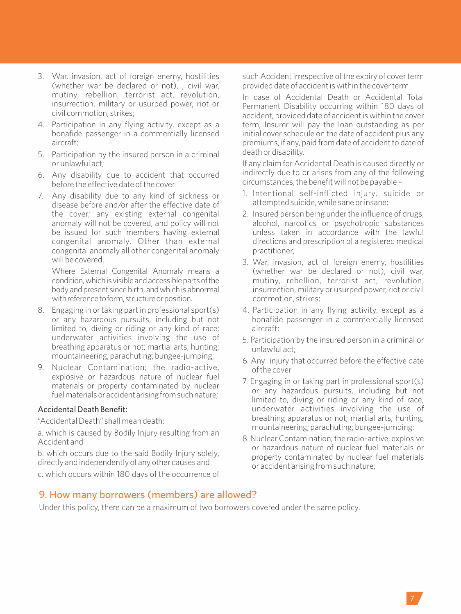- 3. War, invasion, act of foreign enemy, hostilities (whether war be declared or not), , civil war, mutiny, rebellion, terrorist act, revolution, insurrection, military or usurped power, riot or civil commotion, strikes;
- 4. Participation in any flying activity, except as a bonafide passenger in a commercially licensed aircraft;
- 5. Participation by the insured person in a criminal or unlawful act;
- 6. Any disability due to accident that occurred before the effective date of the cover
- 7. Any disability due to any kind of sickness or disease before and/or after the effective date of the cover; any existing external congenital anomaly will not be covered, and policy will not be issued for such members having external congenital anomaly. Other than external congenital anomaly all other congenital anomaly will be covered.

Where External Congenital Anomaly means a condition,whichisvisibleandaccessiblepartsofthe body and present since birth, and which is abnormal with reference to form, structure or position.

- 8. Engaging in or taking part in professional sport(s) or any hazardous pursuits, including but not limited to, diving or riding or any kind of race; underwater activities involving the use of breathing apparatus or not; martial arts; hunting; mountaineering; parachuting; bungee-jumping;
- 9. Nuclear Contamination; the radio-active, explosive or hazardous nature of nuclear fuel materials or property contaminated by nuclear fuel materials or accident arising from such nature;

#### Accidental Death Benefit:

"Accidental Death" shall mean death:

a. which is caused by Bodily Injury resulting from an Accident and

b. which occurs due to the said Bodily Injury solely, directly and independently of any other causes and

c. which occurs within 180 days of the occurrence of

such Accident irrespective of the expiry of cover term provided date of accident is within the cover term

In case of Accidental Death or Accidental Total Permanent Disability occurring within 180 days of accident, provided date of accident is within the cover term, Insurer will pay the loan outstanding as per initial cover schedule on the date of accident plus any premiums, if any, paid from date of accident to date of death or disability.

If any claim for Accidental Death is caused directly or indirectly due to or arises from any of the following circumstances, the benefit will not be payable –

- 1. Intentional self-inflicted injury, suicide or attempted suicide, while sane or insane;
- 2. Insured person being under the influence of drugs, alcohol, narcotics or psychotropic substances unless taken in accordance with the lawful directions and prescription of a registered medical practitioner;
- 3. War, invasion, act of foreign enemy, hostilities (whether war be declared or not), civil war, mutiny, rebellion, terrorist act, revolution, insurrection, military or usurped power, riot or civil commotion, strikes;
- 4. Participation in any flying activity, except as a bonafide passenger in a commercially licensed aircraft;
- 5. Participation by the insured person in a criminal or unlawful act;
- 6. Any injury that occurred before the effective date of the cover
- 7. Engaging in or taking part in professional sport(s) or any hazardous pursuits, including but not limited to, diving or riding or any kind of race; underwater activities involving the use of breathing apparatus or not; martial arts; hunting; mountaineering; parachuting; bungee-jumping;
- 8. Nuclear Contamination; the radio-active, explosive or hazardous nature of nuclear fuel materials or property contaminated by nuclear fuel materials or accident arising from such nature;

## 9. How many borrowers (members) are allowed?

Under this policy, there can be a maximum of two borrowers covered under the same policy.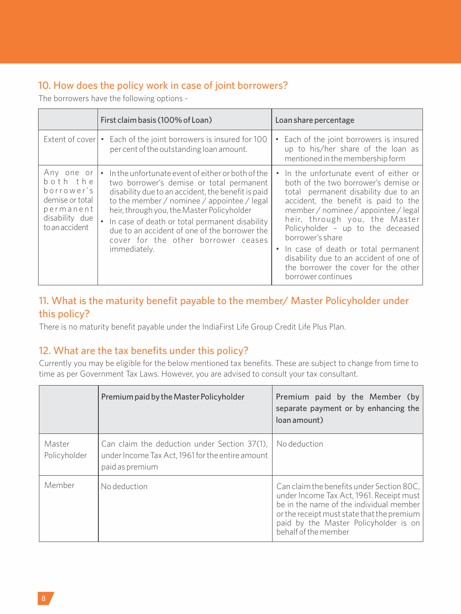## 10. How does the policy work in case of joint borrowers?

The borrowers have the following options -

|                                                                                                          | First claim basis (100% of Loan)                                                                                                                                                                                                                                                                                                                                                                                | Loan share percentage                                                                                                                                                                                                                                                                                                                                                                                                                                            |
|----------------------------------------------------------------------------------------------------------|-----------------------------------------------------------------------------------------------------------------------------------------------------------------------------------------------------------------------------------------------------------------------------------------------------------------------------------------------------------------------------------------------------------------|------------------------------------------------------------------------------------------------------------------------------------------------------------------------------------------------------------------------------------------------------------------------------------------------------------------------------------------------------------------------------------------------------------------------------------------------------------------|
|                                                                                                          | Extent of cover $\cdot$ Each of the joint borrowers is insured for 100<br>per cent of the outstanding loan amount.                                                                                                                                                                                                                                                                                              | Each of the joint borrowers is insured<br>$\bullet$<br>up to his/her share of the loan as<br>mentioned in the membership form                                                                                                                                                                                                                                                                                                                                    |
| Any one or<br>both the<br>borrower's<br>demise or total<br>permanent<br>disability due<br>to an accident | In the unfortunate event of either or both of the<br>٠<br>two borrower's demise or total permanent<br>disability due to an accident, the benefit is paid<br>to the member / nominee / appointee / legal<br>heir, through you, the Master Policyholder<br>In case of death or total permanent disability<br>due to an accident of one of the borrower the<br>cover for the other borrower ceases<br>immediately. | In the unfortunate event of either or<br>$\bullet$<br>both of the two borrower's demise or I<br>total permanent disability due to an<br>accident, the benefit is paid to the<br>member / nominee / appointee / legal<br>heir, through you, the Master<br>Policyholder - up to the deceased<br>borrower's share<br>• In case of death or total permanent<br>disability due to an accident of one of<br>the borrower the cover for the other<br>borrower continues |

## 11. What is the maturity benefit payable to the member/ Master Policyholder under this policy?

There is no maturity benefit payable under the IndiaFirst Life Group Credit Life Plus Plan.

## 12. What are the tax benefits under this policy?

Currently you may be eligible for the below mentioned tax benefits. These are subject to change from time to time as per Government Tax Laws. However, you are advised to consult your tax consultant.

|                        | Premium paid by the Master Policyholder                                                                             | Premium paid by the Member (by<br>separate payment or by enhancing the<br>(loan amount)                                                                                                                                                         |
|------------------------|---------------------------------------------------------------------------------------------------------------------|-------------------------------------------------------------------------------------------------------------------------------------------------------------------------------------------------------------------------------------------------|
| Master<br>Policyholder | Can claim the deduction under Section 37(1),<br>under Income Tax Act, 1961 for the entire amount<br>paid as premium | No deduction                                                                                                                                                                                                                                    |
| Member                 | No deduction                                                                                                        | Can claim the benefits under Section 80C,<br>under Income Tax Act, 1961. Receipt must<br>be in the name of the individual member<br>or the receipt must state that the premium<br>paid by the Master Policyholder is on<br>behalf of the member |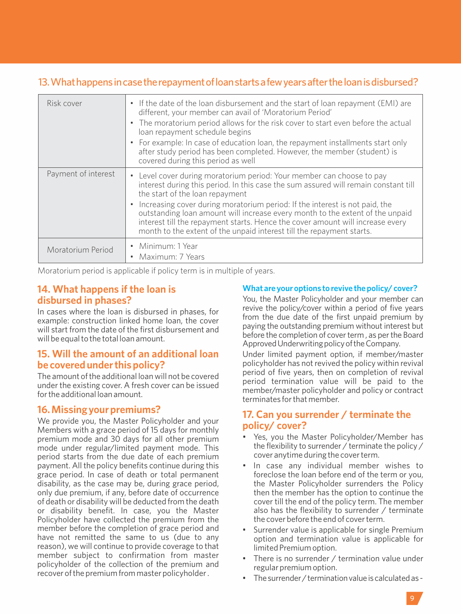## 13. What happens in case the repayment of loan starts a few years after the loan is disbursed?

| Risk cover          | • If the date of the loan disbursement and the start of loan repayment (EMI) are<br>different, your member can avail of 'Moratorium Period'<br>• The moratorium period allows for the risk cover to start even before the actual<br>loan repayment schedule begins<br>• For example: In case of education loan, the repayment installments start only<br>after study period has been completed. However, the member (student) is<br>covered during this period as well                                                       |
|---------------------|------------------------------------------------------------------------------------------------------------------------------------------------------------------------------------------------------------------------------------------------------------------------------------------------------------------------------------------------------------------------------------------------------------------------------------------------------------------------------------------------------------------------------|
| Payment of interest | • Level cover during moratorium period: Your member can choose to pay<br>interest during this period. In this case the sum assured will remain constant till<br>the start of the loan repayment<br>• Increasing cover during moratorium period: If the interest is not paid, the<br>outstanding loan amount will increase every month to the extent of the unpaid<br>interest till the repayment starts. Hence the cover amount will increase every<br>month to the extent of the unpaid interest till the repayment starts. |
| Moratorium Period   | • Minimum: 1 Year<br>Maximum: 7 Years                                                                                                                                                                                                                                                                                                                                                                                                                                                                                        |

Moratorium period is applicable if policy term is in multiple of years.

## **14. What happens if the loan is disbursed in phases?**

In cases where the loan is disbursed in phases, for example: construction linked home loan, the cover will start from the date of the first disbursement and will be equal to the total loan amount.

## **15. Will the amount of an additional loan be covered under this policy?**

The amount of the additional loan will not be covered under the existing cover. A fresh cover can be issued for the additional loan amount.

## **16. Missing your premiums?**

We provide you, the Master Policyholder and your Members with a grace period of 15 days for monthly premium mode and 30 days for all other premium mode under regular/limited payment mode. This period starts from the due date of each premium payment. All the policy benefits continue during this grace period. In case of death or total permanent disability, as the case may be, during grace period, only due premium, if any, before date of occurrence of death or disability will be deducted from the death or disability benefit. In case, you the Master Policyholder have collected the premium from the member before the completion of grace period and have not remitted the same to us (due to any reason), we will continue to provide coverage to that member subject to confirmation from master policyholder of the collection of the premium and recover of the premium from master policyholder .

#### **What are your options to revive the policy/ cover?**

You, the Master Policyholder and your member can revive the policy/cover within a period of five years from the due date of the first unpaid premium by paying the outstanding premium without interest but before the completion of cover term, as per the Board Approved Underwriting policy of the Company.

Under limited payment option, if member/master policyholder has not revived the policy within revival period of five years, then on completion of revival period termination value will be paid to the member/master policyholder and policy or contract terminates for that member.

## **17. Can you surrender / terminate the policy/ cover?**

- Yes, you the Master Policyholder/Member has the flexibility to surrender / terminate the policy / cover anytime during the cover term.
- In case any individual member wishes to foreclose the loan before end of the term or you, the Master Policyholder surrenders the Policy then the member has the option to continue the cover till the end of the policy term. The member also has the flexibility to surrender / terminate the cover before the end of cover term.
- Surrender value is applicable for single Premium option and termination value is applicable for limited Premium option.
- There is no surrender / termination value under regular premium option.
- The surrender / termination value is calculated as -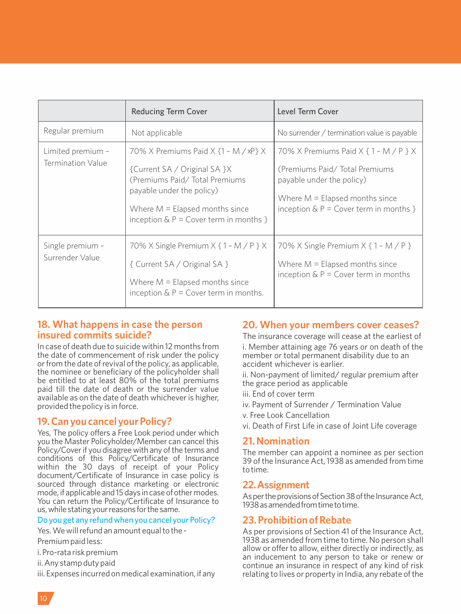|                                        | <b>Reducing Term Cover</b>                                                                                                                                                                                               | Level Term Cover                                                                                                                                                                              |
|----------------------------------------|--------------------------------------------------------------------------------------------------------------------------------------------------------------------------------------------------------------------------|-----------------------------------------------------------------------------------------------------------------------------------------------------------------------------------------------|
| Regular premium                        | Not applicable                                                                                                                                                                                                           | No surrender / termination value is payable                                                                                                                                                   |
| Limited premium -<br>Termination Value | 70% X Premiums Paid X $\{1 - M / xP\}$ X<br>{Current SA / Original SA }X<br>(Premiums Paid/Total Premiums)<br>payable under the policy)<br>Where $M =$ Elapsed months since<br>inception $\&$ P = Cover term in months } | 70% X Premiums Paid $X$ { $1 - M$ / $P$ } $X$<br>(Premiums Paid/Total Premiums)<br>payable under the policy)<br>Where $M =$ Elapsed months since<br>inception $\&$ P = Cover term in months } |
| Single premium -<br>Surrender Value    | 70% X Single Premium $X$ { $1 - M$ / $P$ } $X$<br>{ Current SA / Original SA }<br>Where $M =$ Elapsed months since<br>inception $\&$ P = Cover term in months.                                                           | 70% X Single Premium $X \{ 1 - M / P \}$<br>Where $M =$ Elapsed months since<br>inception $\&$ P = Cover term in months                                                                       |

## **18. What happens in case the person insured commits suicide?**

In case of death due to suicide within 12 months from the date of commencement of risk under the policy or from the date of revival of the policy, as applicable, the nominee or beneficiary of the policyholder shall be entitled to at least 80% of the total premiums paid till the date of death or the surrender value available as on the date of death whichever is higher, provided the policy is in force.

## **19. Can you cancel your Policy?**

Yes, The policy offers a Free Look period under which you the Master Policyholder/Member can cancel this Policy/Cover if you disagree with any of the terms and conditions of this Policy/Certificate of Insurance within the 30 days of receipt of your Policy document/Certificate of Insurance in case policy is sourced through distance marketing or electronic mode, if applicable and 15 days in case of other modes. You can return the Policy/Certificate of Insurance to us,whilestatingyourreasons forthesame.

#### Do you get any refund when you cancel your Policy?

Yes. We will refund an amount equal to the -

- Premium paid less:
- i. Pro-rata risk premium
- ii. Any stamp duty paid

iii. Expenses incurred on medical examination, if any

## **20. When your members cover ceases?**

The insurance coverage will cease at the earliest of i. Member attaining age 76 years or on death of the member or total permanent disability due to an accident whichever is earlier.

ii. Non-payment of limited/ regular premium after the grace period as applicable

- iii. End of cover term
- iv. Payment of Surrender / Termination Value
- v. Free Look Cancellation
- vi. Death of First Life in case of Joint Life coverage

## **21. Nomination**

The member can appoint a nominee as per section 39 of the Insurance Act, 1938 as amended from time to time.

#### **22.Assignment**

As per the provisions of Section 38 of the Insurance Act. 1938asamendedfromtimetotime.

## **23. Prohibition of Rebate**

As per provisions of Section 41 of the Insurance Act, 1938 as amended from time to time. No person shall allow or offer to allow, either directly or indirectly, as an inducement to any person to take or renew or continue an insurance in respect of any kind of risk relating to lives or property in India, any rebate of the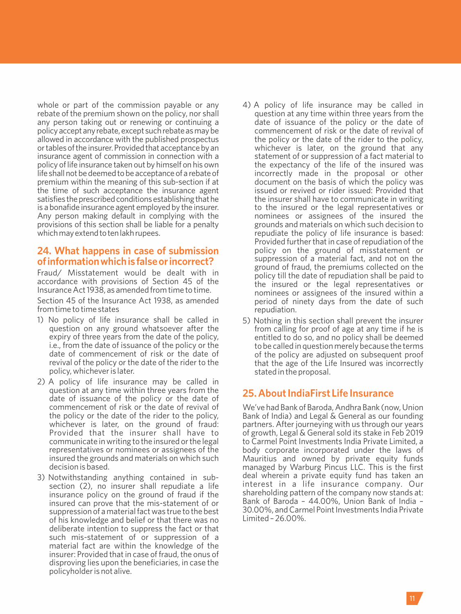whole or part of the commission payable or any rebate of the premium shown on the policy, nor shall any person taking out or renewing or continuing a policyacceptanyrebate,except suchrebateasmaybe allowed in accordance with the published prospectus or tables of the insurer. Provided that acceptance by an insurance agent of commission in connection with a policy of life insurance taken out by himself on his own life shall not be deemed to be acceptance of a rebate of premium within the meaning of this sub-section if at the time of such acceptance the insurance agent satisfies the prescribed conditions establishing that he is a bonafide insurance agent employed by the insurer. Any person making default in complying with the provisions of this section shall be liable for a penalty which may extend to ten lakh rupees.

## **24. What happens in case of submission ofinformationwhichisfalseorincorrect?**

Fraud/ Misstatement would be dealt with in accordance with provisions of Section 45 of the Insurance Act 1938, as amended from time to time.

Section 45 of the Insurance Act 1938, as amended from time to time states

- 1) No policy of life insurance shall be called in question on any ground whatsoever after the expiry of three years from the date of the policy, i.e., from the date of issuance of the policy or the date of commencement of risk or the date of revival of the policy or the date of the rider to the policy, whichever is later.
- 2) A policy of life insurance may be called in question at any time within three years from the date of issuance of the policy or the date of commencement of risk or the date of revival of the policy or the date of the rider to the policy, whichever is later, on the ground of fraud: Provided that the insurer shall have to communicate in writing to the insured or the legal representatives or nominees or assignees of the insured the grounds and materials on which such decision is based.
- 3) Notwithstanding anything contained in subsection (2), no insurer shall repudiate a life insurance policy on the ground of fraud if the insured can prove that the mis-statement of or suppression of a material fact was true to the best of his knowledge and belief or that there was no deliberate intention to suppress the fact or that such mis-statement of or suppression of a material fact are within the knowledge of the insurer: Provided that in case of fraud, the onus of disproving lies upon the beneficiaries, in case the policyholder is not alive.
- 4) A policy of life insurance may be called in question at any time within three years from the date of issuance of the policy or the date of commencement of risk or the date of revival of the policy or the date of the rider to the policy, whichever is later, on the ground that any statement of or suppression of a fact material to the expectancy of the life of the insured was incorrectly made in the proposal or other document on the basis of which the policy was issued or revived or rider issued: Provided that the insurer shall have to communicate in writing to the insured or the legal representatives or nominees or assignees of the insured the grounds and materials on which such decision to repudiate the policy of life insurance is based: Provided further that in case of repudiation of the policy on the ground of misstatement or suppression of a material fact, and not on the ground of fraud, the premiums collected on the policy till the date of repudiation shall be paid to the insured or the legal representatives or nominees or assignees of the insured within a period of ninety days from the date of such repudiation.
- 5) Nothing in this section shall prevent the insurer from calling for proof of age at any time if he is entitled to do so, and no policy shall be deemed to be called in question merely because the terms of the policy are adjusted on subsequent proof that the age of the Life Insured was incorrectly stated in the proposal.

## **25. About IndiaFirst Life Insurance**

We've had Bank of Baroda, Andhra Bank (now, Union Bank of India) and Legal & General as our founding partners. After journeying with us through our years of growth, Legal & General sold its stake in Feb 2019 to Carmel Point Investments India Private Limited, a body corporate incorporated under the laws of Mauritius and owned by private equity funds managed by Warburg Pincus LLC. This is the first deal wherein a private equity fund has taken an interest in a life insurance company. Our shareholding pattern of the company now stands at: Bank of Baroda – 44.00%, Union Bank of India – 30.00%, and Carmel Point Investments India Private Limited – 26.00%.